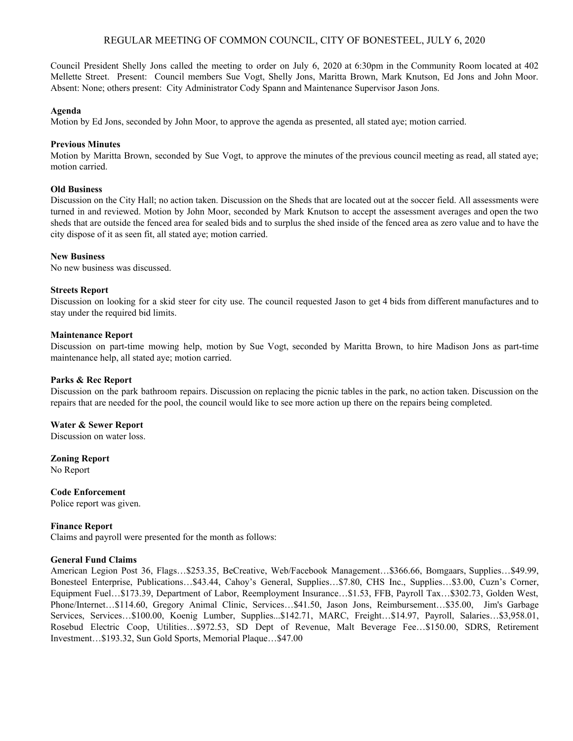# REGULAR MEETING OF COMMON COUNCIL, CITY OF BONESTEEL, JULY 6, 2020

Council President Shelly Jons called the meeting to order on July 6, 2020 at 6:30pm in the Community Room located at 402 Mellette Street. Present: Council members Sue Vogt, Shelly Jons, Maritta Brown, Mark Knutson, Ed Jons and John Moor. Absent: None; others present: City Administrator Cody Spann and Maintenance Supervisor Jason Jons.

### **Agenda**

Motion by Ed Jons, seconded by John Moor, to approve the agenda as presented, all stated aye; motion carried.

## **Previous Minutes**

Motion by Maritta Brown, seconded by Sue Vogt, to approve the minutes of the previous council meeting as read, all stated aye; motion carried.

## **Old Business**

Discussion on the City Hall; no action taken. Discussion on the Sheds that are located out at the soccer field. All assessments were turned in and reviewed. Motion by John Moor, seconded by Mark Knutson to accept the assessment averages and open the two sheds that are outside the fenced area for sealed bids and to surplus the shed inside of the fenced area as zero value and to have the city dispose of it as seen fit, all stated aye; motion carried.

## **New Business**

No new business was discussed.

## **Streets Report**

Discussion on looking for a skid steer for city use. The council requested Jason to get 4 bids from different manufactures and to stay under the required bid limits.

#### **Maintenance Report**

Discussion on part-time mowing help, motion by Sue Vogt, seconded by Maritta Brown, to hire Madison Jons as part-time maintenance help, all stated aye; motion carried.

#### **Parks & Rec Report**

Discussion on the park bathroom repairs. Discussion on replacing the picnic tables in the park, no action taken. Discussion on the repairs that are needed for the pool, the council would like to see more action up there on the repairs being completed.

#### **Water & Sewer Report**

Discussion on water loss.

**Zoning Report** No Report

# **Code Enforcement**

Police report was given.

# **Finance Report**

Claims and payroll were presented for the month as follows:

#### **General Fund Claims**

American Legion Post 36, Flags…\$253.35, BeCreative, Web/Facebook Management…\$366.66, Bomgaars, Supplies…\$49.99, Bonesteel Enterprise, Publications…\$43.44, Cahoy's General, Supplies…\$7.80, CHS Inc., Supplies…\$3.00, Cuzn's Corner, Equipment Fuel…\$173.39, Department of Labor, Reemployment Insurance…\$1.53, FFB, Payroll Tax…\$302.73, Golden West, Phone/Internet…\$114.60, Gregory Animal Clinic, Services…\$41.50, Jason Jons, Reimbursement…\$35.00, Jim's Garbage Services, Services…\$100.00, Koenig Lumber, Supplies...\$142.71, MARC, Freight…\$14.97, Payroll, Salaries…\$3,958.01, Rosebud Electric Coop, Utilities…\$972.53, SD Dept of Revenue, Malt Beverage Fee…\$150.00, SDRS, Retirement Investment…\$193.32, Sun Gold Sports, Memorial Plaque…\$47.00